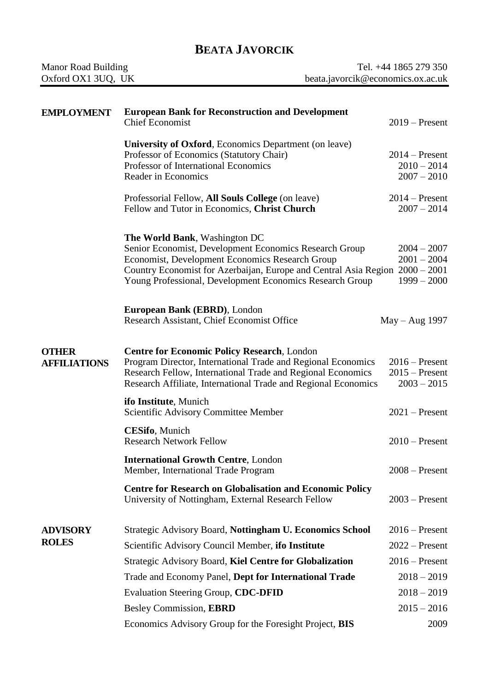## **BEATA JAVORCIK**

| Manor Road Building | Tel. +44 1865 279 350             |
|---------------------|-----------------------------------|
| Oxford OX1 3UQ, UK  | beata.javorcik@economics.ox.ac.uk |

| <b>EMPLOYMENT</b>                   | <b>European Bank for Reconstruction and Development</b><br><b>Chief Economist</b>                                                                                                                                                                                                             | $2019$ – Present                                      |
|-------------------------------------|-----------------------------------------------------------------------------------------------------------------------------------------------------------------------------------------------------------------------------------------------------------------------------------------------|-------------------------------------------------------|
|                                     | University of Oxford, Economics Department (on leave)<br>Professor of Economics (Statutory Chair)<br>Professor of International Economics<br>Reader in Economics                                                                                                                              | $2014$ – Present<br>$2010 - 2014$<br>$2007 - 2010$    |
|                                     | Professorial Fellow, All Souls College (on leave)<br>Fellow and Tutor in Economics, Christ Church                                                                                                                                                                                             | $2014$ – Present<br>$2007 - 2014$                     |
|                                     | <b>The World Bank, Washington DC</b><br>Senior Economist, Development Economics Research Group<br>Economist, Development Economics Research Group<br>Country Economist for Azerbaijan, Europe and Central Asia Region 2000 – 2001<br>Young Professional, Development Economics Research Group | $2004 - 2007$<br>$2001 - 2004$<br>$1999 - 2000$       |
|                                     | European Bank (EBRD), London<br>Research Assistant, Chief Economist Office                                                                                                                                                                                                                    | $May - Aug$ 1997                                      |
| <b>OTHER</b><br><b>AFFILIATIONS</b> | <b>Centre for Economic Policy Research, London</b><br>Program Director, International Trade and Regional Economics<br>Research Fellow, International Trade and Regional Economics<br>Research Affiliate, International Trade and Regional Economics                                           | $2016$ – Present<br>$2015$ – Present<br>$2003 - 2015$ |
|                                     | ifo Institute, Munich<br>Scientific Advisory Committee Member                                                                                                                                                                                                                                 | $2021$ – Present                                      |
|                                     | <b>CESifo</b> , Munich<br><b>Research Network Fellow</b>                                                                                                                                                                                                                                      | $2010$ – Present                                      |
|                                     | <b>International Growth Centre, London</b><br>Member, International Trade Program                                                                                                                                                                                                             | $2008 -$ Present                                      |
|                                     | <b>Centre for Research on Globalisation and Economic Policy</b><br>University of Nottingham, External Research Fellow                                                                                                                                                                         | $2003$ – Present                                      |
| <b>ADVISORY</b>                     | Strategic Advisory Board, Nottingham U. Economics School                                                                                                                                                                                                                                      | $2016$ – Present                                      |
| <b>ROLES</b>                        | Scientific Advisory Council Member, ifo Institute                                                                                                                                                                                                                                             | $2022 -$ Present                                      |
|                                     | Strategic Advisory Board, Kiel Centre for Globalization                                                                                                                                                                                                                                       | $2016$ – Present                                      |
|                                     | Trade and Economy Panel, Dept for International Trade                                                                                                                                                                                                                                         | $2018 - 2019$                                         |
|                                     | Evaluation Steering Group, CDC-DFID                                                                                                                                                                                                                                                           | $2018 - 2019$                                         |
|                                     | Besley Commission, EBRD                                                                                                                                                                                                                                                                       | $2015 - 2016$                                         |
|                                     | Economics Advisory Group for the Foresight Project, BIS                                                                                                                                                                                                                                       | 2009                                                  |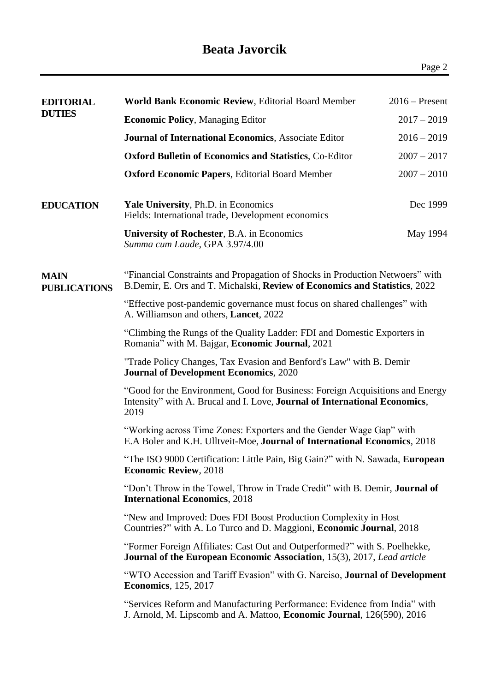| EDITORIAL<br><b>DUTIES</b>  | <b>World Bank Economic Review, Editorial Board Member</b>                                                                                                                   | $2016$ – Present |  |
|-----------------------------|-----------------------------------------------------------------------------------------------------------------------------------------------------------------------------|------------------|--|
|                             | <b>Economic Policy, Managing Editor</b><br>$2017 - 2019$                                                                                                                    |                  |  |
|                             | <b>Journal of International Economics, Associate Editor</b>                                                                                                                 | $2016 - 2019$    |  |
|                             | <b>Oxford Bulletin of Economics and Statistics, Co-Editor</b>                                                                                                               | $2007 - 2017$    |  |
|                             | <b>Oxford Economic Papers, Editorial Board Member</b>                                                                                                                       | $2007 - 2010$    |  |
| <b>EDUCATION</b>            | Yale University, Ph.D. in Economics<br>Fields: International trade, Development economics                                                                                   | Dec 1999         |  |
|                             | University of Rochester, B.A. in Economics<br>Summa cum Laude, GPA 3.97/4.00                                                                                                | May 1994         |  |
| MAIN<br><b>PUBLICATIONS</b> | "Financial Constraints and Propagation of Shocks in Production Netwoers" with<br>B.Demir, E. Ors and T. Michalski, Review of Economics and Statistics, 2022                 |                  |  |
|                             | "Effective post-pandemic governance must focus on shared challenges" with<br>A. Williamson and others, Lancet, 2022                                                         |                  |  |
|                             | "Climbing the Rungs of the Quality Ladder: FDI and Domestic Exporters in<br>Romania" with M. Bajgar, Economic Journal, 2021                                                 |                  |  |
|                             | "Trade Policy Changes, Tax Evasion and Benford's Law" with B. Demir<br><b>Journal of Development Economics, 2020</b>                                                        |                  |  |
|                             | "Good for the Environment, Good for Business: Foreign Acquisitions and Energy<br>Intensity" with A. Brucal and I. Love, <b>Journal of International Economics</b> ,<br>2019 |                  |  |
|                             | "Working across Time Zones: Exporters and the Gender Wage Gap" with<br>E.A Boler and K.H. Ulltveit-Moe, Journal of International Economics, 2018                            |                  |  |
|                             | "The ISO 9000 Certification: Little Pain, Big Gain?" with N. Sawada, European<br><b>Economic Review, 2018</b>                                                               |                  |  |
|                             | "Don't Throw in the Towel, Throw in Trade Credit" with B. Demir, <b>Journal of</b><br><b>International Economics, 2018</b>                                                  |                  |  |
|                             | "New and Improved: Does FDI Boost Production Complexity in Host<br>Countries?" with A. Lo Turco and D. Maggioni, <b>Economic Journal</b> , 2018                             |                  |  |
|                             | "Former Foreign Affiliates: Cast Out and Outperformed?" with S. Poelhekke,<br><b>Journal of the European Economic Association</b> , 15(3), 2017, Lead article               |                  |  |
|                             | "WTO Accession and Tariff Evasion" with G. Narciso, <b>Journal of Development</b><br><b>Economics</b> , 125, 2017                                                           |                  |  |
|                             | "Services Reform and Manufacturing Performance: Evidence from India" with<br>J. Arnold, M. Lipscomb and A. Mattoo, Economic Journal, 126(590), 2016                         |                  |  |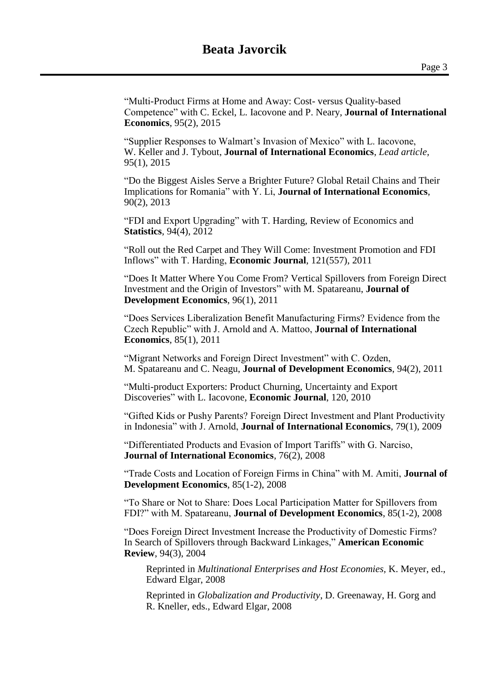"Multi-Product Firms at Home and Away: Cost- versus Quality-based Competence" with C. Eckel, L. Iacovone and P. Neary, **Journal of International Economics**, 95(2), 2015

"Supplier Responses to Walmart's Invasion of Mexico" with L. Iacovone, W. Keller and J. Tybout, **Journal of International Economics**, *Lead article,*  95(1), 2015

"Do the Biggest Aisles Serve a Brighter Future? Global Retail Chains and Their Implications for Romania" with Y. Li, **Journal of International Economics**, 90(2), 2013

"FDI and Export Upgrading" with T. Harding, Review of Economics and **Statistics**, 94(4), 2012

"Roll out the Red Carpet and They Will Come: Investment Promotion and FDI Inflows" with T. Harding, **Economic Journal**, 121(557), 2011

"Does It Matter Where You Come From? Vertical Spillovers from Foreign Direct Investment and the Origin of Investors" with M. Spatareanu, **Journal of Development Economics**, 96(1), 2011

"Does Services Liberalization Benefit Manufacturing Firms? Evidence from the Czech Republic" with J. Arnold and A. Mattoo, **Journal of International Economics**, 85(1), 2011

"Migrant Networks and Foreign Direct Investment" with C. Ozden, M. Spatareanu and C. Neagu, **Journal of Development Economics**, 94(2), 2011

"Multi-product Exporters: Product Churning, Uncertainty and Export Discoveries" with L. Iacovone, **Economic Journal**, 120, 2010

"Gifted Kids or Pushy Parents? Foreign Direct Investment and Plant Productivity in Indonesia" with J. Arnold, **Journal of International Economics**, 79(1), 2009

"Differentiated Products and Evasion of Import Tariffs" with G. Narciso, **Journal of International Economics**, 76(2), 2008

"Trade Costs and Location of Foreign Firms in China" with M. Amiti, **Journal of Development Economics**, 85(1-2), 2008

"To Share or Not to Share: Does Local Participation Matter for Spillovers from FDI?" with M. Spatareanu, **Journal of Development Economics**, 85(1-2), 2008

"Does Foreign Direct Investment Increase the Productivity of Domestic Firms? In Search of Spillovers through Backward Linkages," **American Economic Review**, 94(3), 2004

Reprinted in *Multinational Enterprises and Host Economies,* K. Meyer, ed., Edward Elgar, 2008

Reprinted in *Globalization and Productivity*, D. Greenaway, H. Gorg and R. Kneller, eds., Edward Elgar, 2008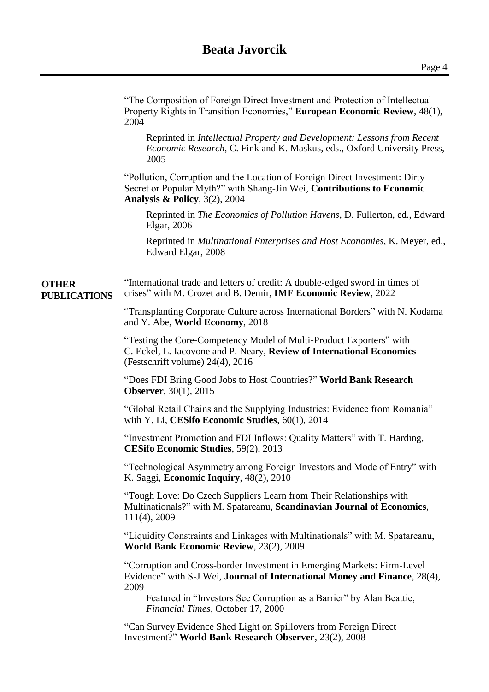## **Beata Javorcik**

|                                     | "The Composition of Foreign Direct Investment and Protection of Intellectual<br>Property Rights in Transition Economies," European Economic Review, 48(1),<br>2004                          |
|-------------------------------------|---------------------------------------------------------------------------------------------------------------------------------------------------------------------------------------------|
|                                     | Reprinted in Intellectual Property and Development: Lessons from Recent<br><i>Economic Research</i> , C. Fink and K. Maskus, eds., Oxford University Press,<br>2005                         |
|                                     | "Pollution, Corruption and the Location of Foreign Direct Investment: Dirty<br>Secret or Popular Myth?" with Shang-Jin Wei, Contributions to Economic<br>Analysis & Policy, $3(2)$ , $2004$ |
|                                     | Reprinted in The Economics of Pollution Havens, D. Fullerton, ed., Edward<br>Elgar, 2006                                                                                                    |
|                                     | Reprinted in <i>Multinational Enterprises and Host Economies</i> , K. Meyer, ed.,<br>Edward Elgar, 2008                                                                                     |
| <b>OTHER</b><br><b>PUBLICATIONS</b> | "International trade and letters of credit: A double-edged sword in times of<br>crises" with M. Crozet and B. Demir, <b>IMF Economic Review</b> , 2022                                      |
|                                     | "Transplanting Corporate Culture across International Borders" with N. Kodama<br>and Y. Abe, World Economy, 2018                                                                            |
|                                     | "Testing the Core-Competency Model of Multi-Product Exporters" with<br>C. Eckel, L. Iacovone and P. Neary, Review of International Economics<br>(Festschrift volume) 24(4), 2016            |
|                                     | "Does FDI Bring Good Jobs to Host Countries?" World Bank Research<br><b>Observer</b> , 30(1), 2015                                                                                          |
|                                     | "Global Retail Chains and the Supplying Industries: Evidence from Romania"<br>with Y. Li, CESifo Economic Studies, 60(1), 2014                                                              |
|                                     | "Investment Promotion and FDI Inflows: Quality Matters" with T. Harding,<br>CESifo Economic Studies, 59(2), 2013                                                                            |
|                                     | "Technological Asymmetry among Foreign Investors and Mode of Entry" with<br>K. Saggi, Economic Inquiry, 48(2), 2010                                                                         |
|                                     | "Tough Love: Do Czech Suppliers Learn from Their Relationships with<br>Multinationals?" with M. Spatareanu, Scandinavian Journal of Economics,<br>111(4), 2009                              |
|                                     | "Liquidity Constraints and Linkages with Multinationals" with M. Spatareanu,<br>World Bank Economic Review, 23(2), 2009                                                                     |
|                                     | "Corruption and Cross-border Investment in Emerging Markets: Firm-Level<br>Evidence" with S-J Wei, Journal of International Money and Finance, 28(4),<br>2009                               |
|                                     | Featured in "Investors See Corruption as a Barrier" by Alan Beattie,<br>Financial Times, October 17, 2000                                                                                   |
|                                     | "Can Survey Evidence Shed Light on Spillovers from Foreign Direct<br>Investment?" World Bank Research Observer, 23(2), 2008                                                                 |
|                                     |                                                                                                                                                                                             |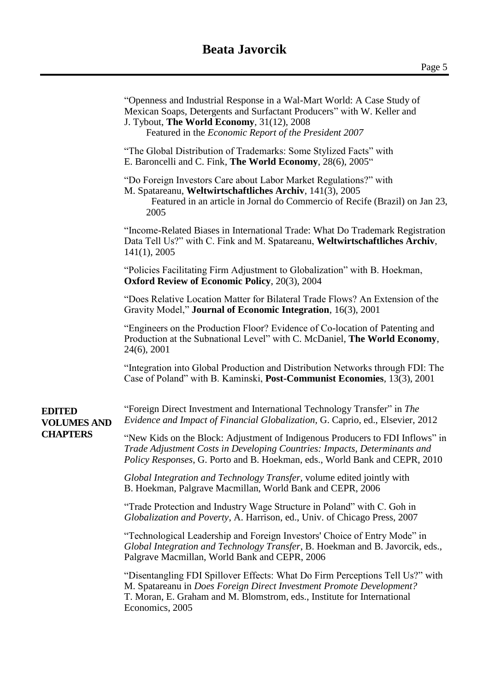|                                     | "Openness and Industrial Response in a Wal-Mart World: A Case Study of<br>Mexican Soaps, Detergents and Surfactant Producers" with W. Keller and<br>J. Tybout, The World Economy, 31(12), 2008<br>Featured in the <i>Economic Report of the President 2007</i> |  |
|-------------------------------------|----------------------------------------------------------------------------------------------------------------------------------------------------------------------------------------------------------------------------------------------------------------|--|
|                                     | "The Global Distribution of Trademarks: Some Stylized Facts" with<br>E. Baroncelli and C. Fink, The World Economy, 28(6), 2005 <sup>"</sup>                                                                                                                    |  |
|                                     | "Do Foreign Investors Care about Labor Market Regulations?" with<br>M. Spatareanu, Weltwirtschaftliches Archiv, 141(3), 2005<br>Featured in an article in Jornal do Commercio of Recife (Brazil) on Jan 23,<br>2005                                            |  |
|                                     | "Income-Related Biases in International Trade: What Do Trademark Registration<br>Data Tell Us?" with C. Fink and M. Spatareanu, Weltwirtschaftliches Archiv,<br>141(1), 2005                                                                                   |  |
|                                     | "Policies Facilitating Firm Adjustment to Globalization" with B. Hoekman,<br><b>Oxford Review of Economic Policy</b> , 20(3), 2004                                                                                                                             |  |
|                                     | "Does Relative Location Matter for Bilateral Trade Flows? An Extension of the<br>Gravity Model," <b>Journal of Economic Integration</b> , 16(3), 2001                                                                                                          |  |
|                                     | "Engineers on the Production Floor? Evidence of Co-location of Patenting and<br>Production at the Subnational Level" with C. McDaniel, The World Economy,<br>24(6), 2001                                                                                       |  |
|                                     | "Integration into Global Production and Distribution Networks through FDI: The<br>Case of Poland" with B. Kaminski, <b>Post-Communist Economies</b> , 13(3), 2001                                                                                              |  |
| <b>EDITED</b><br><b>VOLUMES AND</b> | "Foreign Direct Investment and International Technology Transfer" in The<br>Evidence and Impact of Financial Globalization, G. Caprio, ed., Elsevier, 2012                                                                                                     |  |
| <b>CHAPTERS</b>                     | "New Kids on the Block: Adjustment of Indigenous Producers to FDI Inflows" in<br>Trade Adjustment Costs in Developing Countries: Impacts, Determinants and<br>Policy Responses, G. Porto and B. Hoekman, eds., World Bank and CEPR, 2010                       |  |
|                                     | Global Integration and Technology Transfer, volume edited jointly with<br>B. Hoekman, Palgrave Macmillan, World Bank and CEPR, 2006                                                                                                                            |  |
|                                     | "Trade Protection and Industry Wage Structure in Poland" with C. Goh in<br>Globalization and Poverty, A. Harrison, ed., Univ. of Chicago Press, 2007                                                                                                           |  |
|                                     | "Technological Leadership and Foreign Investors' Choice of Entry Mode" in<br>Global Integration and Technology Transfer, B. Hoekman and B. Javorcik, eds.,<br>Palgrave Macmillan, World Bank and CEPR, 2006                                                    |  |
|                                     | "Disentangling FDI Spillover Effects: What Do Firm Perceptions Tell Us?" with<br>M. Spatareanu in Does Foreign Direct Investment Promote Development?<br>T. Moran, E. Graham and M. Blomstrom, eds., Institute for International<br>Economics, 2005            |  |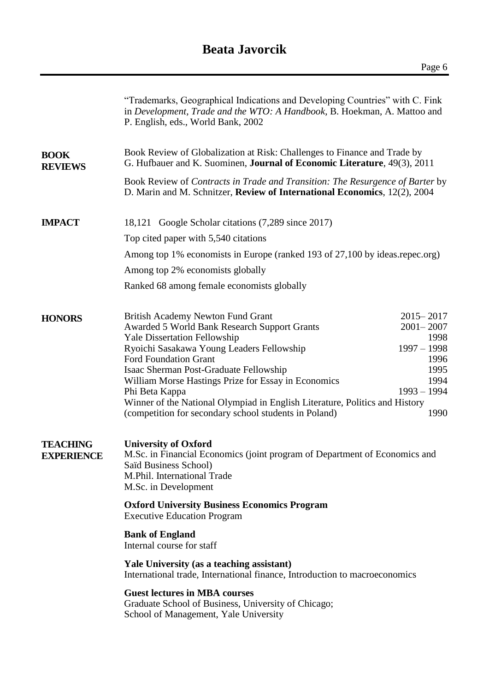## **Beata Javorcik**

|                                      | "Trademarks, Geographical Indications and Developing Countries" with C. Fink<br>in Development, Trade and the WTO: A Handbook, B. Hoekman, A. Mattoo and<br>P. English, eds., World Bank, 2002 |               |                       |  |  |  |
|--------------------------------------|------------------------------------------------------------------------------------------------------------------------------------------------------------------------------------------------|---------------|-----------------------|--|--|--|
| <b>BOOK</b><br><b>REVIEWS</b>        | Book Review of Globalization at Risk: Challenges to Finance and Trade by<br>G. Hufbauer and K. Suominen, <b>Journal of Economic Literature</b> , 49(3), 2011                                   |               |                       |  |  |  |
|                                      | Book Review of Contracts in Trade and Transition: The Resurgence of Barter by<br>D. Marin and M. Schnitzer, Review of International Economics, 12(2), 2004                                     |               |                       |  |  |  |
| <b>IMPACT</b>                        | 18,121 Google Scholar citations (7,289 since 2017)                                                                                                                                             |               |                       |  |  |  |
|                                      | Top cited paper with 5,540 citations                                                                                                                                                           |               |                       |  |  |  |
|                                      | Among top 1% economists in Europe (ranked 193 of 27,100 by ideas.repec.org)                                                                                                                    |               |                       |  |  |  |
|                                      | Among top 2% economists globally                                                                                                                                                               |               |                       |  |  |  |
|                                      | Ranked 68 among female economists globally                                                                                                                                                     |               |                       |  |  |  |
| <b>HONORS</b>                        | <b>British Academy Newton Fund Grant</b>                                                                                                                                                       |               | $2015 - 2017$         |  |  |  |
|                                      | Awarded 5 World Bank Research Support Grants<br><b>Yale Dissertation Fellowship</b>                                                                                                            |               | $2001 - 2007$<br>1998 |  |  |  |
|                                      | Ryoichi Sasakawa Young Leaders Fellowship                                                                                                                                                      | $1997 - 1998$ |                       |  |  |  |
|                                      | <b>Ford Foundation Grant</b>                                                                                                                                                                   |               | 1996<br>1995          |  |  |  |
|                                      | Isaac Sherman Post-Graduate Fellowship<br>William Morse Hastings Prize for Essay in Economics                                                                                                  |               | 1994                  |  |  |  |
|                                      | Phi Beta Kappa                                                                                                                                                                                 | $1993 - 1994$ |                       |  |  |  |
|                                      | Winner of the National Olympiad in English Literature, Politics and History<br>(competition for secondary school students in Poland)                                                           |               | 1990                  |  |  |  |
| <b>TEACHING</b><br><b>EXPERIENCE</b> | <b>University of Oxford</b><br>M.Sc. in Financial Economics (joint program of Department of Economics and<br>Saïd Business School)<br>M.Phil. International Trade<br>M.Sc. in Development      |               |                       |  |  |  |
|                                      | <b>Oxford University Business Economics Program</b><br><b>Executive Education Program</b>                                                                                                      |               |                       |  |  |  |
|                                      | <b>Bank of England</b><br>Internal course for staff                                                                                                                                            |               |                       |  |  |  |
|                                      | Yale University (as a teaching assistant)<br>International trade, International finance, Introduction to macroeconomics                                                                        |               |                       |  |  |  |
|                                      | <b>Guest lectures in MBA courses</b><br>Graduate School of Business, University of Chicago;<br>School of Management, Yale University                                                           |               |                       |  |  |  |